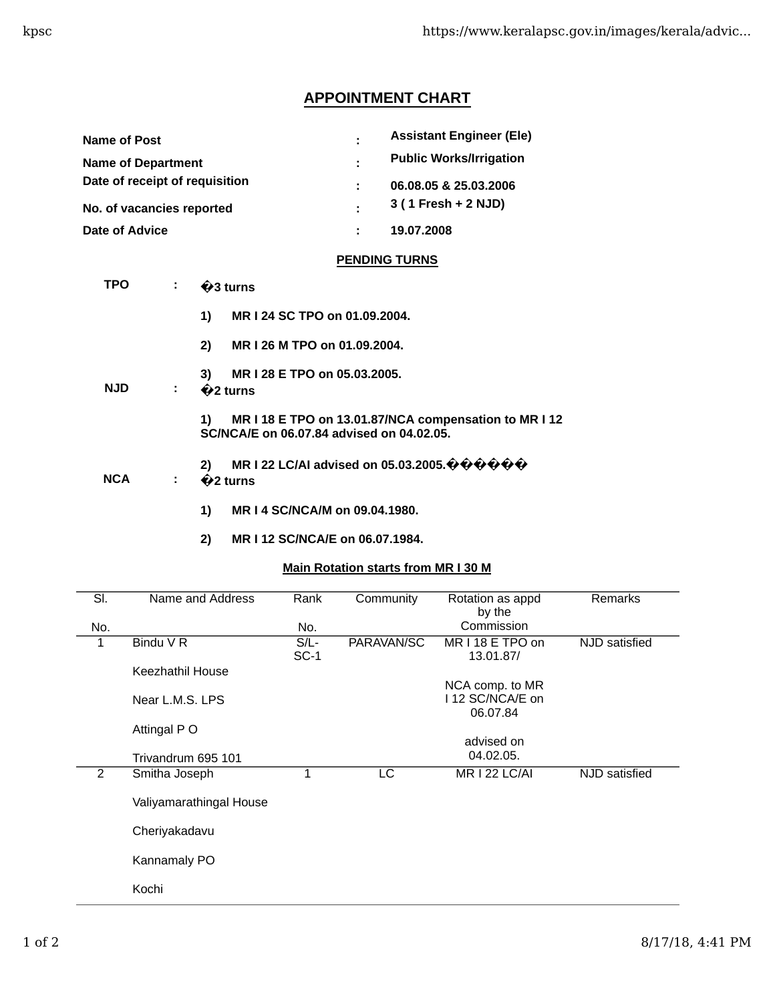# **APPOINTMENT CHART**

| <b>Name of Post</b>            | ÷  | <b>Assistant Engineer (Ele)</b> |
|--------------------------------|----|---------------------------------|
| <b>Name of Department</b>      | ÷. | <b>Public Works/Irrigation</b>  |
| Date of receipt of requisition |    | 06.08.05 & 25.03.2006           |
| No. of vacancies reported      |    | 3 (1 Fresh + 2 NJD)             |
| Date of Advice                 |    | 19.07.2008                      |

## **PENDING TURNS**

| TPO        |    | $\bigcirc$ 3 turns                                                                                                                                                     |  |  |  |  |
|------------|----|------------------------------------------------------------------------------------------------------------------------------------------------------------------------|--|--|--|--|
|            |    | 1)<br>MR I 24 SC TPO on 01.09.2004.                                                                                                                                    |  |  |  |  |
|            |    | MR I 26 M TPO on 01.09.2004.<br>2)                                                                                                                                     |  |  |  |  |
| <b>NJD</b> | ÷. | MR I 28 E TPO on 05.03.2005.<br>3)<br>$\bigotimes$ turns                                                                                                               |  |  |  |  |
|            |    | MR I 18 E TPO on 13.01.87/NCA compensation to MR I 12<br>1)<br>SC/NCA/E on 06.07.84 advised on 04.02.05.                                                               |  |  |  |  |
| <b>NCA</b> | ÷. | MR I 22 LC/AI advised on 05.03.2005. $\hat{\mathbf{\Phi}} \hat{\mathbf{\Phi}} \hat{\mathbf{\Phi}} \hat{\mathbf{\Phi}} \hat{\mathbf{\Phi}}$<br>2)<br>$\bigotimes$ turns |  |  |  |  |
|            |    | MR   4 SC/NCA/M on 09.04.1980.<br>1)                                                                                                                                   |  |  |  |  |

**2) MR I 12 SC/NCA/E on 06.07.1984.**

### **Main Rotation starts from MR I 30 M**

| SI. | Name and Address        | Rank              | Community  | Rotation as appd                   | <b>Remarks</b> |
|-----|-------------------------|-------------------|------------|------------------------------------|----------------|
| No. |                         | No.               |            | by the<br>Commission               |                |
| 1   | Bindu V R               | $S/L$ -<br>$SC-1$ | PARAVAN/SC | MR I 18 E TPO on<br>13.01.87/      | NJD satisfied  |
|     | Keezhathil House        |                   |            |                                    |                |
|     | Near L.M.S. LPS         |                   |            | NCA comp. to MR<br>112 SC/NCA/E on |                |
|     |                         |                   |            | 06.07.84                           |                |
|     | Attingal P O            |                   |            |                                    |                |
|     | Trivandrum 695 101      |                   |            | advised on<br>04.02.05.            |                |
| 2   | Smitha Joseph           | 1                 | LC         | <b>MR I 22 LC/AI</b>               | NJD satisfied  |
|     | Valiyamarathingal House |                   |            |                                    |                |
|     | Cheriyakadavu           |                   |            |                                    |                |
|     | Kannamaly PO            |                   |            |                                    |                |
|     | Kochi                   |                   |            |                                    |                |